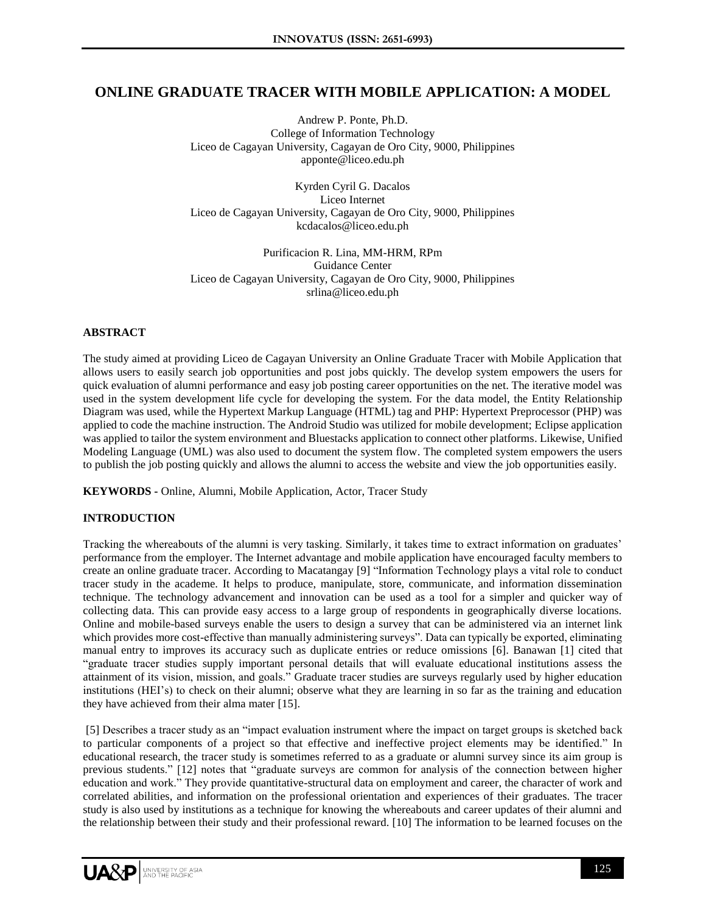# **ONLINE GRADUATE TRACER WITH MOBILE APPLICATION: A MODEL**

Andrew P. Ponte, Ph.D. College of Information Technology Liceo de Cagayan University, Cagayan de Oro City, 9000, Philippines apponte@liceo.edu.ph

Kyrden Cyril G. Dacalos Liceo Internet Liceo de Cagayan University, Cagayan de Oro City, 9000, Philippines kcdacalos@liceo.edu.ph

Purificacion R. Lina, MM-HRM, RPm Guidance Center Liceo de Cagayan University, Cagayan de Oro City, 9000, Philippines srlina@liceo.edu.ph

# **ABSTRACT**

The study aimed at providing Liceo de Cagayan University an Online Graduate Tracer with Mobile Application that allows users to easily search job opportunities and post jobs quickly. The develop system empowers the users for quick evaluation of alumni performance and easy job posting career opportunities on the net. The iterative model was used in the system development life cycle for developing the system. For the data model, the Entity Relationship Diagram was used, while the Hypertext Markup Language (HTML) tag and PHP: Hypertext Preprocessor (PHP) was applied to code the machine instruction. The Android Studio was utilized for mobile development; Eclipse application was applied to tailor the system environment and Bluestacks application to connect other platforms. Likewise, Unified Modeling Language (UML) was also used to document the system flow. The completed system empowers the users to publish the job posting quickly and allows the alumni to access the website and view the job opportunities easily.

**KEYWORDS -** Online, Alumni, Mobile Application, Actor, Tracer Study

# **INTRODUCTION**

Tracking the whereabouts of the alumni is very tasking. Similarly, it takes time to extract information on graduates' performance from the employer. The Internet advantage and mobile application have encouraged faculty members to create an online graduate tracer. According to Macatangay [9] "Information Technology plays a vital role to conduct tracer study in the academe. It helps to produce, manipulate, store, communicate, and information dissemination technique. The technology advancement and innovation can be used as a tool for a simpler and quicker way of collecting data. This can provide easy access to a large group of respondents in geographically diverse locations. Online and mobile-based surveys enable the users to design a survey that can be administered via an internet link which provides more cost-effective than manually administering surveys". Data can typically be exported, eliminating manual entry to improves its accuracy such as duplicate entries or reduce omissions [6]. Banawan [1] cited that "graduate tracer studies supply important personal details that will evaluate educational institutions assess the attainment of its vision, mission, and goals." Graduate tracer studies are surveys regularly used by higher education institutions (HEI's) to check on their alumni; observe what they are learning in so far as the training and education they have achieved from their alma mater [15].

[5] Describes a tracer study as an "impact evaluation instrument where the impact on target groups is sketched back to particular components of a project so that effective and ineffective project elements may be identified." In educational research, the tracer study is sometimes referred to as a graduate or alumni survey since its aim group is previous students." [12] notes that "graduate surveys are common for analysis of the connection between higher education and work." They provide quantitative-structural data on employment and career, the character of work and correlated abilities, and information on the professional orientation and experiences of their graduates. The tracer study is also used by institutions as a technique for knowing the whereabouts and career updates of their alumni and the relationship between their study and their professional reward. [10] The information to be learned focuses on the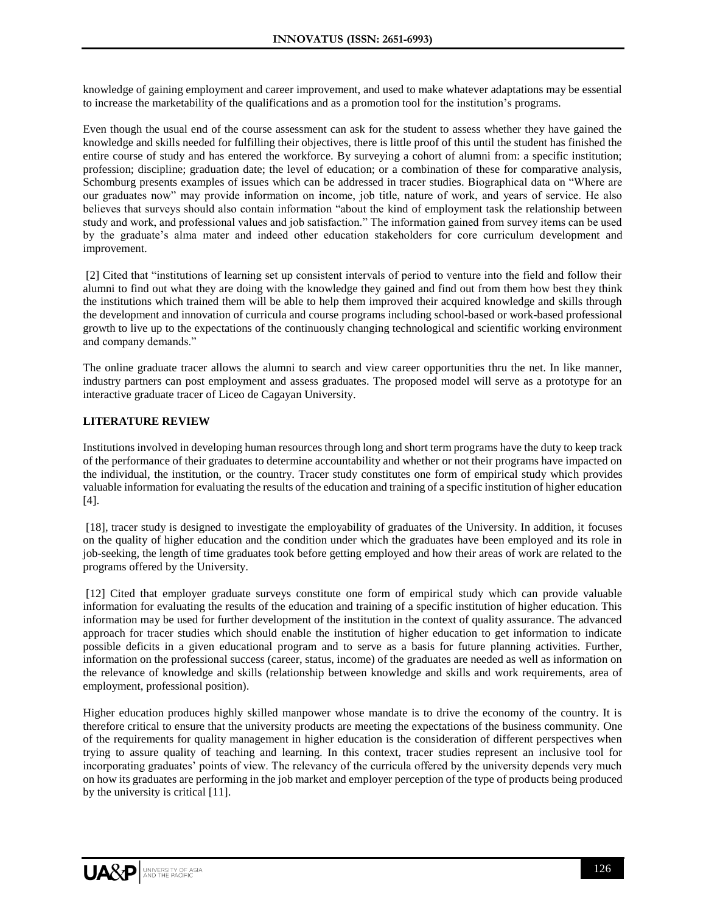knowledge of gaining employment and career improvement, and used to make whatever adaptations may be essential to increase the marketability of the qualifications and as a promotion tool for the institution's programs.

Even though the usual end of the course assessment can ask for the student to assess whether they have gained the knowledge and skills needed for fulfilling their objectives, there is little proof of this until the student has finished the entire course of study and has entered the workforce. By surveying a cohort of alumni from: a specific institution; profession; discipline; graduation date; the level of education; or a combination of these for comparative analysis, Schomburg presents examples of issues which can be addressed in tracer studies. Biographical data on "Where are our graduates now" may provide information on income, job title, nature of work, and years of service. He also believes that surveys should also contain information "about the kind of employment task the relationship between study and work, and professional values and job satisfaction." The information gained from survey items can be used by the graduate's alma mater and indeed other education stakeholders for core curriculum development and improvement.

[2] Cited that "institutions of learning set up consistent intervals of period to venture into the field and follow their alumni to find out what they are doing with the knowledge they gained and find out from them how best they think the institutions which trained them will be able to help them improved their acquired knowledge and skills through the development and innovation of curricula and course programs including school-based or work-based professional growth to live up to the expectations of the continuously changing technological and scientific working environment and company demands."

The online graduate tracer allows the alumni to search and view career opportunities thru the net. In like manner, industry partners can post employment and assess graduates. The proposed model will serve as a prototype for an interactive graduate tracer of Liceo de Cagayan University.

# **LITERATURE REVIEW**

Institutions involved in developing human resources through long and short term programs have the duty to keep track of the performance of their graduates to determine accountability and whether or not their programs have impacted on the individual, the institution, or the country. Tracer study constitutes one form of empirical study which provides valuable information for evaluating the results of the education and training of a specific institution of higher education [4].

[18], tracer study is designed to investigate the employability of graduates of the University. In addition, it focuses on the quality of higher education and the condition under which the graduates have been employed and its role in job-seeking, the length of time graduates took before getting employed and how their areas of work are related to the programs offered by the University.

[12] Cited that employer graduate surveys constitute one form of empirical study which can provide valuable information for evaluating the results of the education and training of a specific institution of higher education. This information may be used for further development of the institution in the context of quality assurance. The advanced approach for tracer studies which should enable the institution of higher education to get information to indicate possible deficits in a given educational program and to serve as a basis for future planning activities. Further, information on the professional success (career, status, income) of the graduates are needed as well as information on the relevance of knowledge and skills (relationship between knowledge and skills and work requirements, area of employment, professional position).

Higher education produces highly skilled manpower whose mandate is to drive the economy of the country. It is therefore critical to ensure that the university products are meeting the expectations of the business community. One of the requirements for quality management in higher education is the consideration of different perspectives when trying to assure quality of teaching and learning. In this context, tracer studies represent an inclusive tool for incorporating graduates' points of view. The relevancy of the curricula offered by the university depends very much on how its graduates are performing in the job market and employer perception of the type of products being produced by the university is critical [11].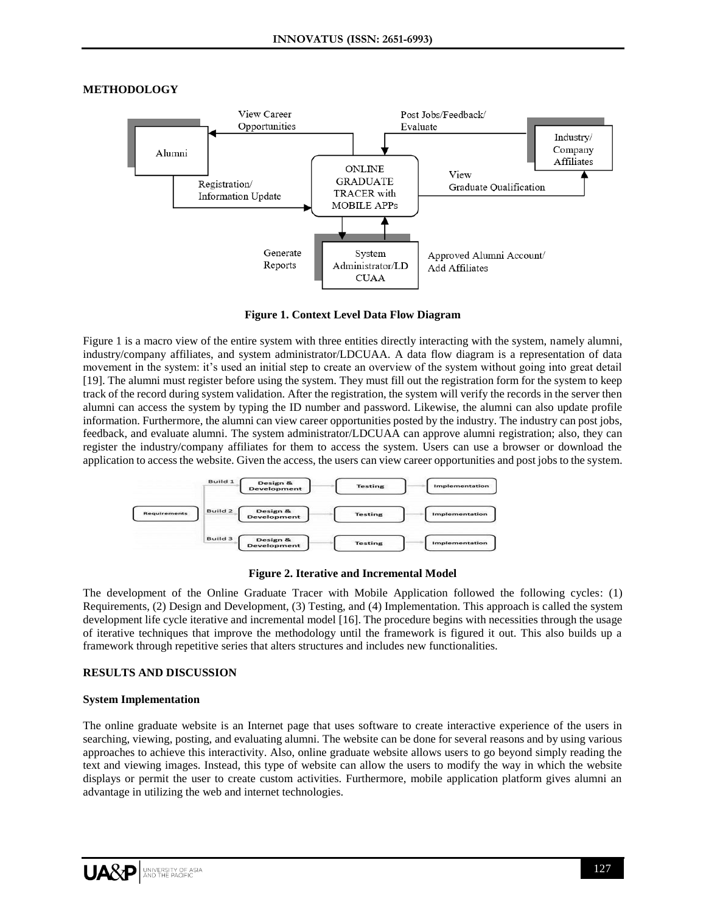## **METHODOLOGY**



**Figure 1. Context Level Data Flow Diagram**

Figure 1 is a macro view of the entire system with three entities directly interacting with the system, namely alumni, industry/company affiliates, and system administrator/LDCUAA. A data flow diagram is a representation of data movement in the system: it's used an initial step to create an overview of the system without going into great detail [19]. The alumni must register before using the system. They must fill out the registration form for the system to keep track of the record during system validation. After the registration, the system will verify the records in the server then alumni can access the system by typing the ID number and password. Likewise, the alumni can also update profile information. Furthermore, the alumni can view career opportunities posted by the industry. The industry can post jobs, feedback, and evaluate alumni. The system administrator/LDCUAA can approve alumni registration; also, they can register the industry/company affiliates for them to access the system. Users can use a browser or download the application to access the website. Given the access, the users can view career opportunities and post jobs to the system.



**Figure 2. Iterative and Incremental Model**

The development of the Online Graduate Tracer with Mobile Application followed the following cycles: (1) Requirements, (2) Design and Development, (3) Testing, and (4) Implementation. This approach is called the system development life cycle iterative and incremental model [16]. The procedure begins with necessities through the usage of iterative techniques that improve the methodology until the framework is figured it out. This also builds up a framework through repetitive series that alters structures and includes new functionalities.

#### **RESULTS AND DISCUSSION**

#### **System Implementation**

The online graduate website is an Internet page that uses software to create interactive experience of the users in searching, viewing, posting, and evaluating alumni. The website can be done for several reasons and by using various approaches to achieve this interactivity. Also, online graduate website allows users to go beyond simply reading the text and viewing images. Instead, this type of website can allow the users to modify the way in which the website displays or permit the user to create custom activities. Furthermore, mobile application platform gives alumni an advantage in utilizing the web and internet technologies.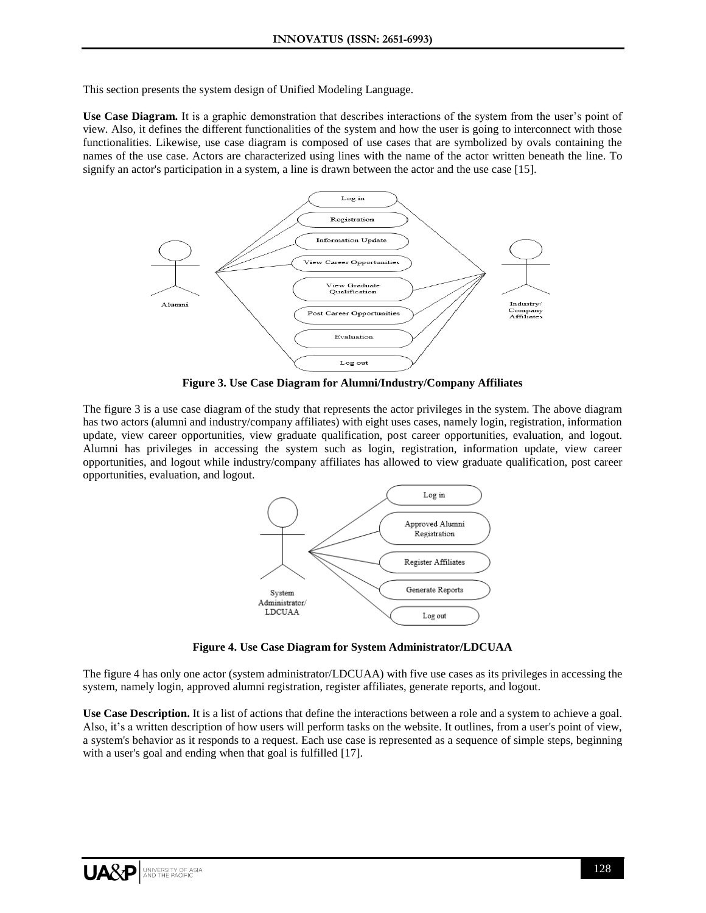This section presents the system design of Unified Modeling Language.

**Use Case Diagram.** It is a graphic demonstration that describes interactions of the system from the user's point of view. Also, it defines the different functionalities of the system and how the user is going to interconnect with those functionalities. Likewise, use case diagram is composed of use cases that are symbolized by ovals containing the names of the use case. Actors are characterized using lines with the name of the actor written beneath the line. To signify an actor's participation in a system, a line is drawn between the actor and the use case [15].



**Figure 3. Use Case Diagram for Alumni/Industry/Company Affiliates**

The figure 3 is a use case diagram of the study that represents the actor privileges in the system. The above diagram has two actors (alumni and industry/company affiliates) with eight uses cases, namely login, registration, information update, view career opportunities, view graduate qualification, post career opportunities, evaluation, and logout. Alumni has privileges in accessing the system such as login, registration, information update, view career opportunities, and logout while industry/company affiliates has allowed to view graduate qualification, post career opportunities, evaluation, and logout.



**Figure 4. Use Case Diagram for System Administrator/LDCUAA**

The figure 4 has only one actor (system administrator/LDCUAA) with five use cases as its privileges in accessing the system, namely login, approved alumni registration, register affiliates, generate reports, and logout.

**Use Case Description.** It is a list of actions that define the interactions between a role and a system to achieve a goal. Also, it's a written description of how users will perform tasks on the website. It outlines, from a user's point of view, a system's behavior as it responds to a request. Each use case is represented as a sequence of simple steps, beginning with a user's goal and ending when that goal is fulfilled [17].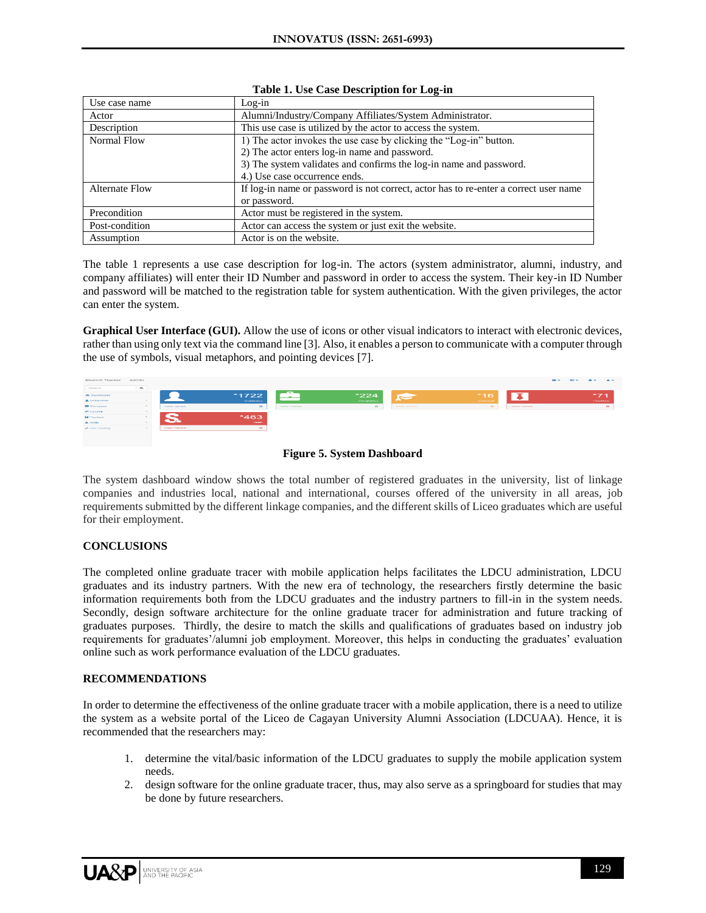| Use case name         | $Log-in$                                                                             |
|-----------------------|--------------------------------------------------------------------------------------|
| Actor                 | Alumni/Industry/Company Affiliates/System Administrator.                             |
| Description           | This use case is utilized by the actor to access the system.                         |
| Normal Flow           | 1) The actor invokes the use case by clicking the "Log-in" button.                   |
|                       | 2) The actor enters log-in name and password.                                        |
|                       | 3) The system validates and confirms the log-in name and password.                   |
|                       | 4.) Use case occurrence ends.                                                        |
| <b>Alternate Flow</b> | If log-in name or password is not correct, actor has to re-enter a correct user name |
|                       | or password.                                                                         |
| Precondition          | Actor must be registered in the system.                                              |
| Post-condition        | Actor can access the system or just exit the website.                                |
| Assumption            | Actor is on the website.                                                             |

#### **Table 1. Use Case Description for Log-in**

The table 1 represents a use case description for log-in. The actors (system administrator, alumni, industry, and company affiliates) will enter their ID Number and password in order to access the system. Their key-in ID Number and password will be matched to the registration table for system authentication. With the given privileges, the actor can enter the system.

**Graphical User Interface (GUI).** Allow the use of [icons](https://www.computerhope.com/jargon/i/icon.htm) or other visual indicators to interact with electronic devices, rather than using only text via the [command line](https://www.computerhope.com/jargon/c/commandi.htm) [3]. Also, it enables a person to communicate with a computer through the use of symbols, visual [metaphors,](https://www.merriam-webster.com/dictionary/metaphors) and pointing devices [7].



**Figure 5. System Dashboard** 

The system dashboard window shows the total number of registered graduates in the university, list of linkage companies and industries local, national and international, courses offered of the university in all areas, job requirements submitted by the different linkage companies, and the different skills of Liceo graduates which are useful for their employment.

# **CONCLUSIONS**

The completed online graduate tracer with mobile application helps facilitates the LDCU administration, LDCU graduates and its industry partners. With the new era of technology, the researchers firstly determine the basic information requirements both from the LDCU graduates and the industry partners to fill-in in the system needs. Secondly, design software architecture for the online graduate tracer for administration and future tracking of graduates purposes. Thirdly, the desire to match the skills and qualifications of graduates based on industry job requirements for graduates'/alumni job employment. Moreover, this helps in conducting the graduates' evaluation online such as work performance evaluation of the LDCU graduates.

# **RECOMMENDATIONS**

In order to determine the effectiveness of the online graduate tracer with a mobile application, there is a need to utilize the system as a website portal of the Liceo de Cagayan University Alumni Association (LDCUAA). Hence, it is recommended that the researchers may:

- 1. determine the vital/basic information of the LDCU graduates to supply the mobile application system needs.
- 2. design software for the online graduate tracer, thus, may also serve as a springboard for studies that may be done by future researchers.